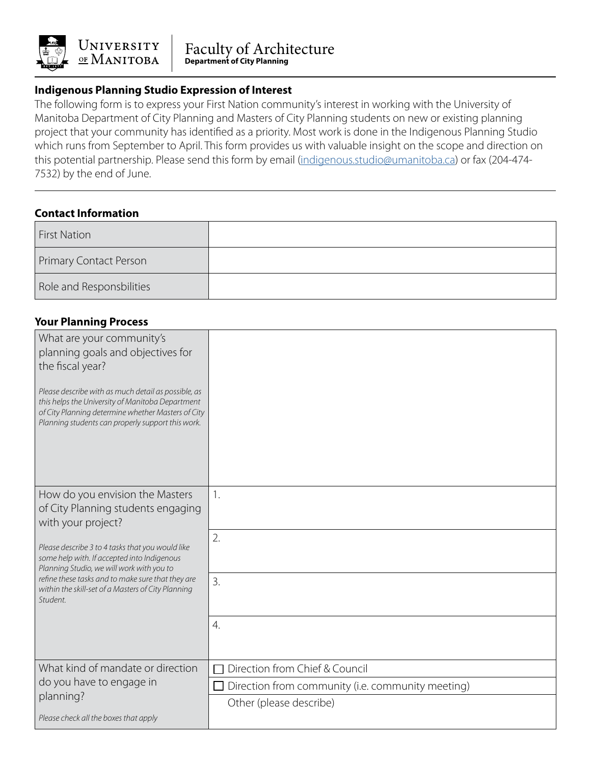

## **Indigenous Planning Studio Expression of Interest**

The following form is to express your First Nation community's interest in working with the University of Manitoba Department of City Planning and Masters of City Planning students on new or existing planning project that your community has identified as a priority. Most work is done in the Indigenous Planning Studio which runs from September to April. This form provides us with valuable insight on the scope and direction on this potential partnership. Please send this form by email ([indigenous.studio@umanitoba.ca\)](mailto:indigenous.studio@umanitoba.ca) or fax (204-474- 7532) by the end of June.

## **Contact Information**

| <b>First Nation</b>      |  |
|--------------------------|--|
| Primary Contact Person   |  |
| Role and Responsbilities |  |

#### **Your Planning Process**

| What are your community's<br>planning goals and objectives for<br>the fiscal year?<br>Please describe with as much detail as possible, as<br>this helps the University of Manitoba Department<br>of City Planning determine whether Masters of City<br>Planning students can properly support this work. |                                                   |
|----------------------------------------------------------------------------------------------------------------------------------------------------------------------------------------------------------------------------------------------------------------------------------------------------------|---------------------------------------------------|
| How do you envision the Masters<br>of City Planning students engaging<br>with your project?                                                                                                                                                                                                              | 1.                                                |
| Please describe 3 to 4 tasks that you would like<br>some help with. If accepted into Indigenous<br>Planning Studio, we will work with you to                                                                                                                                                             | 2.                                                |
| refine these tasks and to make sure that they are<br>within the skill-set of a Masters of City Planning<br>Student.                                                                                                                                                                                      | $\overline{3}$ .                                  |
|                                                                                                                                                                                                                                                                                                          | $\overline{4}$ .                                  |
| What kind of mandate or direction                                                                                                                                                                                                                                                                        | Direction from Chief & Council                    |
| do you have to engage in                                                                                                                                                                                                                                                                                 | Direction from community (i.e. community meeting) |
| planning?                                                                                                                                                                                                                                                                                                | Other (please describe)                           |
| Please check all the boxes that apply                                                                                                                                                                                                                                                                    |                                                   |